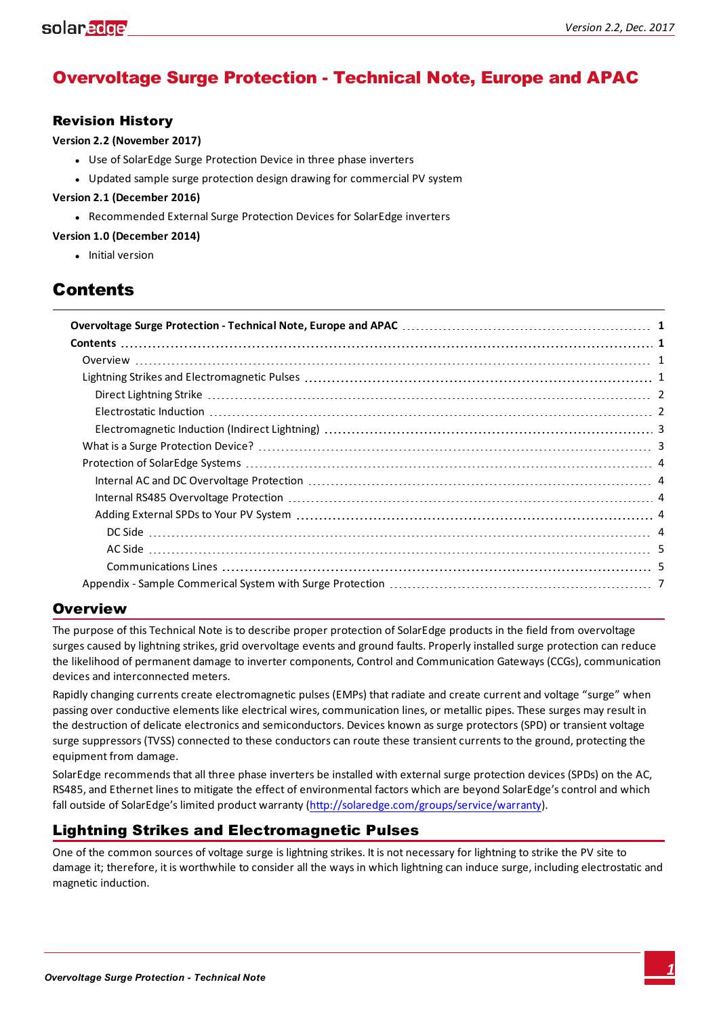# <span id="page-0-0"></span>Overvoltage Surge Protection - Technical Note, Europe and APAC

### Revision History

**Version 2.2 (November 2017)**

- Use of SolarEdge Surge Protection Device in three phase inverters
- Updated sample surge protection design drawing for commercial PV system

#### **Version 2.1 (December 2016)**

• Recommended External Surge Protection Devices for SolarEdge inverters

#### **Version 1.0 (December 2014)**

• Initial version

# <span id="page-0-1"></span>**Contents**

## <span id="page-0-2"></span>**Overview**

The purpose of this Technical Note is to describe proper protection of SolarEdge products in the field from overvoltage surges caused by lightning strikes, grid overvoltage events and ground faults. Properly installed surge protection can reduce the likelihood of permanent damage to inverter components, Control and Communication Gateways (CCGs), communication devices and interconnected meters.

Rapidly changing currents create electromagnetic pulses (EMPs) that radiate and create current and voltage "surge" when passing over conductive elements like electrical wires, communication lines, or metallic pipes. These surges may result in the destruction of delicate electronics and semiconductors. Devices known as surge protectors (SPD) or transient voltage surge suppressors (TVSS) connected to these conductors can route these transient currents to the ground, protecting the equipment from damage.

SolarEdge recommends that all three phase inverters be installed with external surge protection devices (SPDs) on the AC, RS485, and Ethernet lines to mitigate the effect of environmental factors which are beyond SolarEdge's control and which fall outside of SolarEdge's limited product warranty [\(http://solaredge.com/groups/service/warranty](http://solaredge.com/us/service/warranty)).

# <span id="page-0-3"></span>Lightning Strikes and Electromagnetic Pulses

One of the common sources of voltage surge is lightning strikes. It is not necessary for lightning to strike the PV site to damage it; therefore, it is worthwhile to consider all the ways in which lightning can induce surge, including electrostatic and magnetic induction.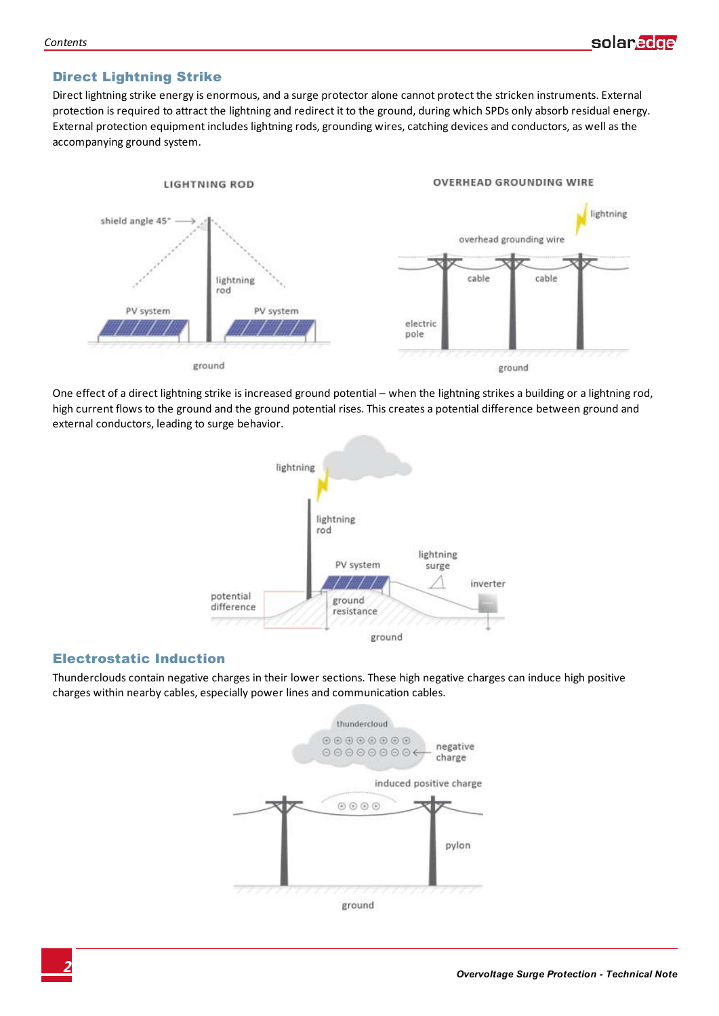## <span id="page-1-0"></span>Direct Lightning Strike

Direct lightning strike energy is enormous, and a surge protector alone cannot protect the stricken instruments. External protection is required to attract the lightning and redirect it to the ground, during which SPDs only absorb residual energy. External protection equipment includes lightning rods, grounding wires, catching devices and conductors, as well as the accompanying ground system.



One effect of a direct lightning strike is increased ground potential – when the lightning strikes a building or a lightning rod, high current flows to the ground and the ground potential rises. This creates a potential difference between ground and external conductors, leading to surge behavior.



#### <span id="page-1-1"></span>Electrostatic Induction

Thunderclouds contain negative charges in their lower sections. These high negative charges can induce high positive charges within nearby cables, especially power lines and communication cables.

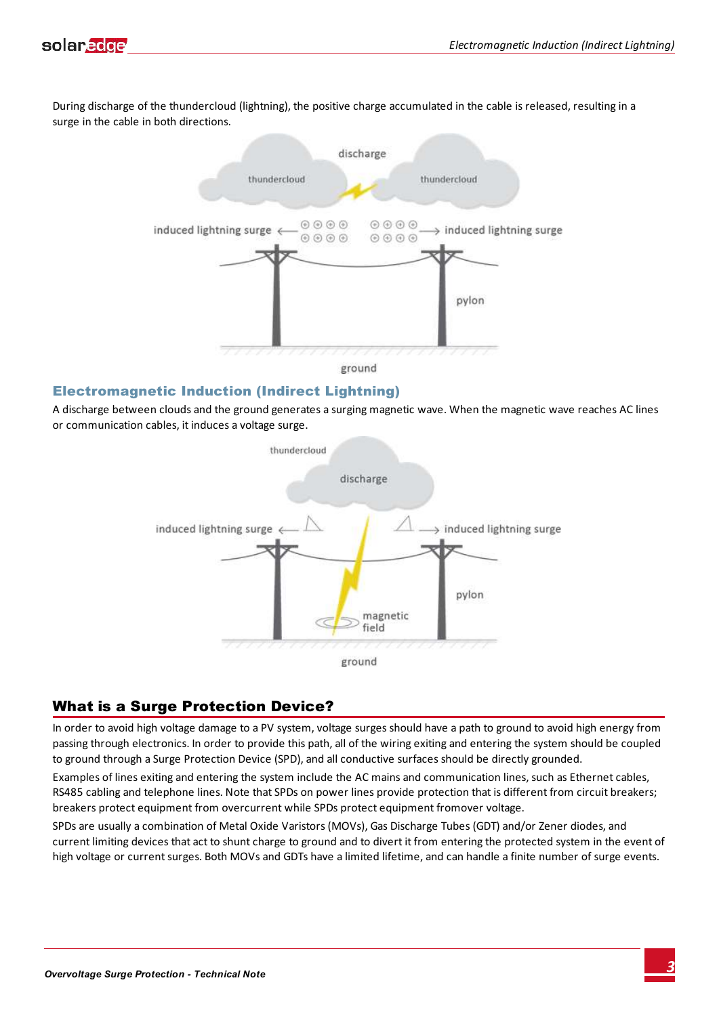

During discharge of the thundercloud (lightning), the positive charge accumulated in the cable is released, resulting in a surge in the cable in both directions.



ground

### <span id="page-2-0"></span>Electromagnetic Induction (Indirect Lightning)

A discharge between clouds and the ground generates a surging magnetic wave. When the magnetic wave reaches AC lines or communication cables, it induces a voltage surge.



### <span id="page-2-1"></span>What is a Surge Protection Device?

In order to avoid high voltage damage to a PV system, voltage surges should have a path to ground to avoid high energy from passing through electronics. In order to provide this path, all of the wiring exiting and entering the system should be coupled to ground through a Surge Protection Device (SPD), and all conductive surfaces should be directly grounded.

Examples of lines exiting and entering the system include the AC mains and communication lines, such as Ethernet cables, RS485 cabling and telephone lines. Note that SPDs on power lines provide protection that is different from circuit breakers; breakers protect equipment from overcurrent while SPDs protect equipment fromover voltage.

SPDs are usually a combination of Metal Oxide Varistors (MOVs), Gas Discharge Tubes (GDT) and/or Zener diodes, and current limiting devices that act to shunt charge to ground and to divert it from entering the protected system in the event of high voltage or current surges. Both MOVs and GDTs have a limited lifetime, and can handle a finite number of surge events.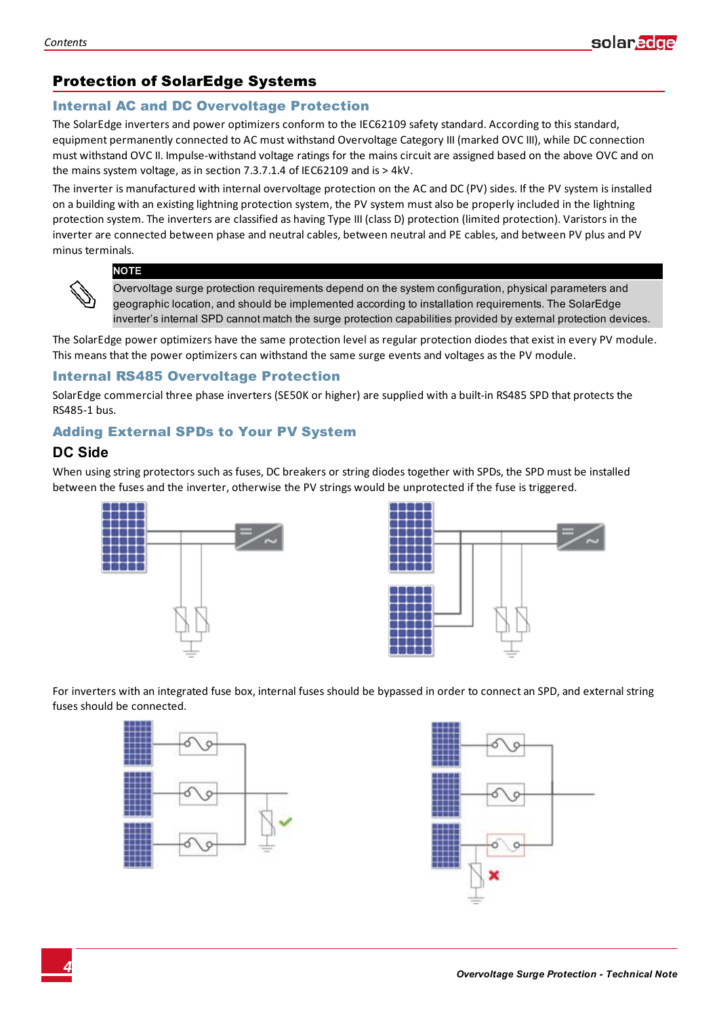# <span id="page-3-0"></span>Protection of SolarEdge Systems

### <span id="page-3-1"></span>Internal AC and DC Overvoltage Protection

The SolarEdge inverters and power optimizers conform to the IEC62109 safety standard. According to this standard, equipment permanently connected to AC must withstand Overvoltage Category III (marked OVC III), while DC connection must withstand OVC II. Impulse-withstand voltage ratings for the mains circuit are assigned based on the above OVC and on the mains system voltage, as in section 7.3.7.1.4 of IEC62109 and is > 4kV.

The inverter is manufactured with internal overvoltage protection on the AC and DC (PV) sides. If the PV system is installed on a building with an existing lightning protection system, the PV system must also be properly included in the lightning protection system. The inverters are classified as having Type III (class D) protection (limited protection). Varistors in the inverter are connected between phase and neutral cables, between neutral and PE cables, and between PV plus and PV minus terminals.

#### **NOTE**

Overvoltage surge protection requirements depend on the system configuration, physical parameters and geographic location, and should be implemented according to installation requirements. The SolarEdge inverter's internal SPD cannot match the surge protection capabilities provided by external protection devices.

The SolarEdge power optimizers have the same protection level as regular protection diodes that exist in every PV module. This means that the power optimizers can withstand the same surge events and voltages as the PV module.

#### <span id="page-3-2"></span>Internal RS485 Overvoltage Protection

SolarEdge commercial three phase inverters (SE50K or higher) are supplied with a built-in RS485 SPD that protects the RS485-1 bus.

## <span id="page-3-4"></span><span id="page-3-3"></span>Adding External SPDs to Your PV System

## **DC Side**

When using string protectors such as fuses, DC breakers or string diodes together with SPDs, the SPD must be installed between the fuses and the inverter, otherwise the PV strings would be unprotected if the fuse is triggered.





For inverters with an integrated fuse box, internal fuses should be bypassed in order to connect an SPD, and external string fuses should be connected.



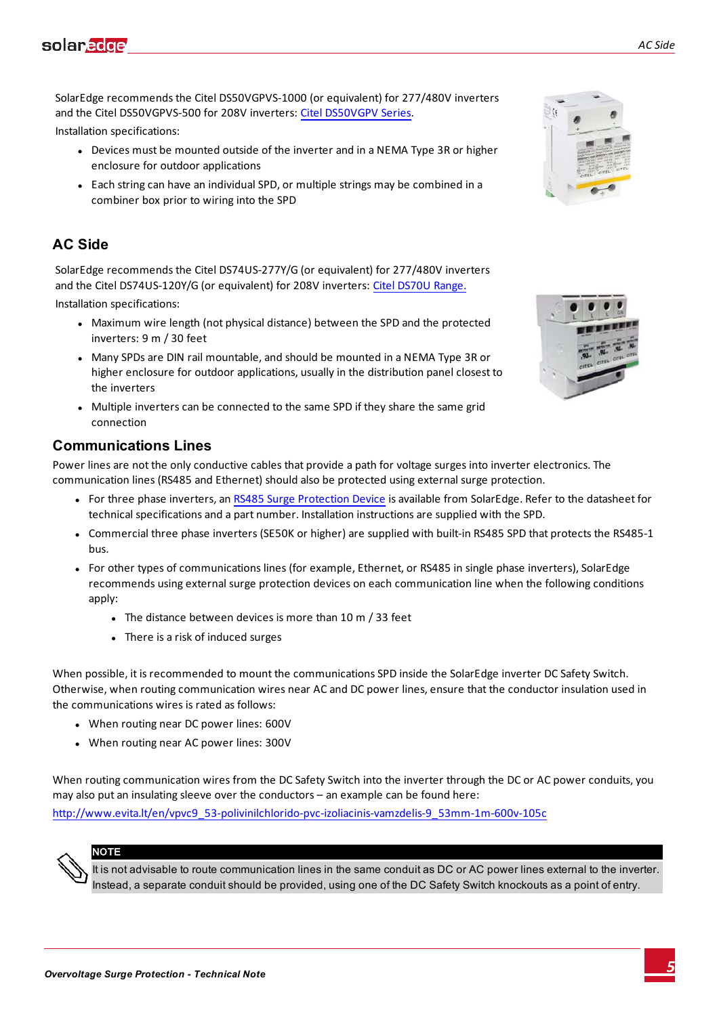SolarEdge recommends the Citel DS50VGPVS-1000 (or equivalent) for 277/480V inverters and the Citel DS50VGPVS-500 for 208V inverters: Citel [DS50VGPV](http://www.citel.us/datasheets/dc/CITEL_DS50VGPV_DataSheet.pdf) Series.

Installation specifications:

- Devices must be mounted outside of the inverter and in a NEMA Type 3R or higher enclosure for outdoor applications
- Each string can have an individual SPD, or multiple strings may be combined in a combiner box prior to wiring into the SPD

## <span id="page-4-0"></span>**AC Side**

SolarEdge recommends the Citel DS74US-277Y/G (or equivalent) for 277/480V inverters and the Citel DS74US-120Y/G (or equivalent) for 208V inverters: Citel [DS70U](http://www.citel.us/datasheets/ac_power/CITEL_DS_DS70U-U031501C.pdf) Range.

Installation specifications:

- Maximum wire length (not physical distance) between the SPD and the protected inverters: 9 m / 30 feet
- Many SPDs are DIN rail mountable, and should be mounted in a NEMA Type 3R or higher enclosure for outdoor applications, usually in the distribution panel closest to the inverters
- Multiple inverters can be connected to the same SPD if they share the same grid connection

## <span id="page-4-1"></span>**Communications Lines**

Power lines are not the only conductive cables that provide a path for voltage surges into inverter electronics. The communication lines (RS485 and Ethernet) should also be protected using external surge protection.

- For three phase inverters, an RS485 Surge [Protection](https://www.solaredge.com/sites/default/files/RS485_Surge_Protection_Device.pdf) Device is available from SolarEdge. Refer to the datasheet for technical specifications and a part number. Installation instructions are supplied with the SPD.
- <sup>l</sup> Commercial three phase inverters (SE50K or higher) are supplied with built-in RS485 SPD that protects the RS485-1 bus.
- For other types of communications lines (for example, Ethernet, or RS485 in single phase inverters), SolarEdge recommends using external surge protection devices on each communication line when the following conditions apply:
	- The distance between devices is more than 10 m  $/$  33 feet
	- There is a risk of induced surges

When possible, it is recommended to mount the communications SPD inside the SolarEdge inverter DC Safety Switch. Otherwise, when routing communication wires near AC and DC power lines, ensure that the conductor insulation used in the communications wires is rated as follows:

- When routing near DC power lines: 600V
- When routing near AC power lines: 300V

When routing communication wires from the DC Safety Switch into the inverter through the DC or AC power conduits, you may also put an insulating sleeve over the conductors – an example can be found here:

[http://www.evita.lt/en/vpvc9\\_53-polivinilchlorido-pvc-izoliacinis-vamzdelis-9\\_53mm-1m-600v-105c](http://www.evita.lt/en/vpvc9_53-polivinilchlorido-pvc-izoliacinis-vamzdelis-9_53mm-1m-600v-105c)

## **NOTE**

It is not advisable to route communication lines in the same conduit as DC or AC power lines external to the inverter. Instead, a separate conduit should be provided, using one of the DC Safety Switch knockouts as a point of entry.



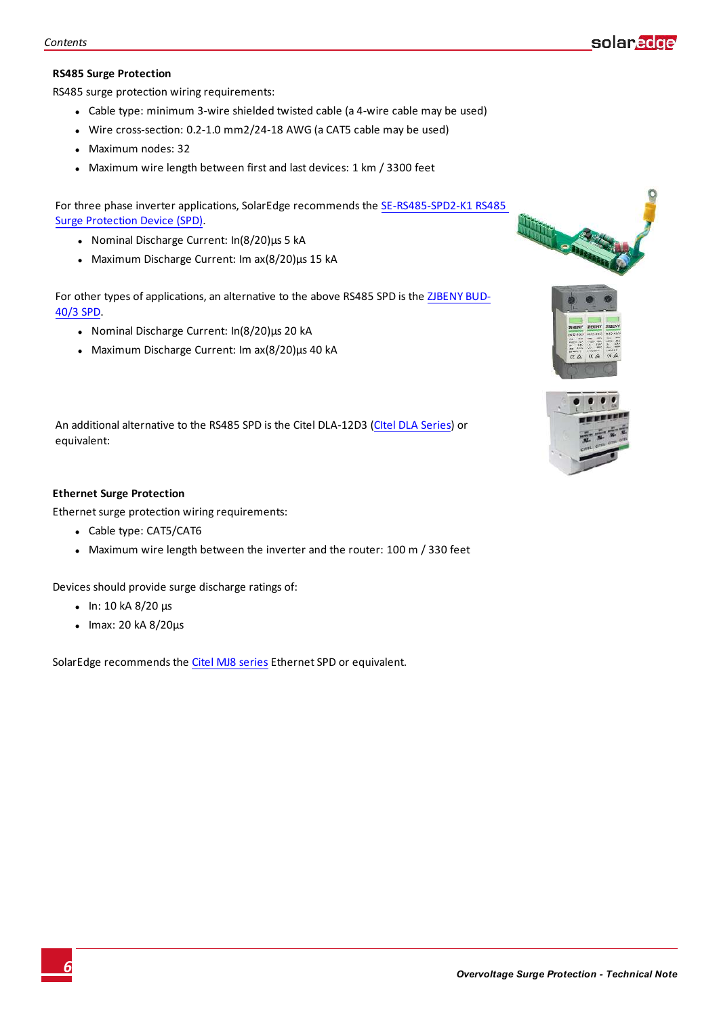#### **RS485 Surge Protection**

RS485 surge protection wiring requirements:

- Cable type: minimum 3-wire shielded twisted cable (a 4-wire cable may be used)
- Wire cross-section: 0.2-1.0 mm2/24-18 AWG (a CAT5 cable may be used)
- Maximum nodes: 32
- Maximum wire length between first and last devices: 1 km / 3300 feet

For three phase inverter applications, SolarEdge recommends the [SE-RS485-SPD2-K1](https://www.solaredge.com/sites/default/files/RS485_Surge_Protection_Device.pdf) RS485 Surge [Protection](https://www.solaredge.com/sites/default/files/RS485_Surge_Protection_Device.pdf) Device (SPD).

- Nominal Discharge Current: In(8/20)μs 5 kA
- $\bullet$  Maximum Discharge Current: Im ax(8/20)μs 15 kA

For other types of applications, an alternative to the above RS485 SPD is the [ZJBENY](http://www.zjbenyswitch.com/DC-Surge-Protection-Device/PV-DC-Surge-Protection-Device-1803.html) BUD-[40/3](http://www.zjbenyswitch.com/DC-Surge-Protection-Device/PV-DC-Surge-Protection-Device-1803.html) SPD.

- Nominal Discharge Current: In(8/20)μs 20 kA
- $\bullet$  Maximum Discharge Current: Im ax(8/20)μs 40 kA

An additional alternative to the RS485 SPD is the Citel DLA-12D3 (CItel DLA [Series\)](http://www.citel.us/datasheets/dataline/CITEL DLA DLA2 Series.pdf) or equivalent:

#### **Ethernet Surge Protection**

Ethernet surge protection wiring requirements:

- Cable type: CAT5/CAT6
- Maximum wire length between the inverter and the router: 100 m / 330 feet

Devices should provide surge discharge ratings of:

- $\cdot$  In: 10 kA 8/20 μs
- $\bullet$  Imax: 20 kA  $8/20 \mu s$

SolarEdge recommends the Citel MJ8 [series](http://www.citel.us/data_sheets/dataline/MJ8-Series-DataSheet.pdf) Ethernet SPD or equivalent.